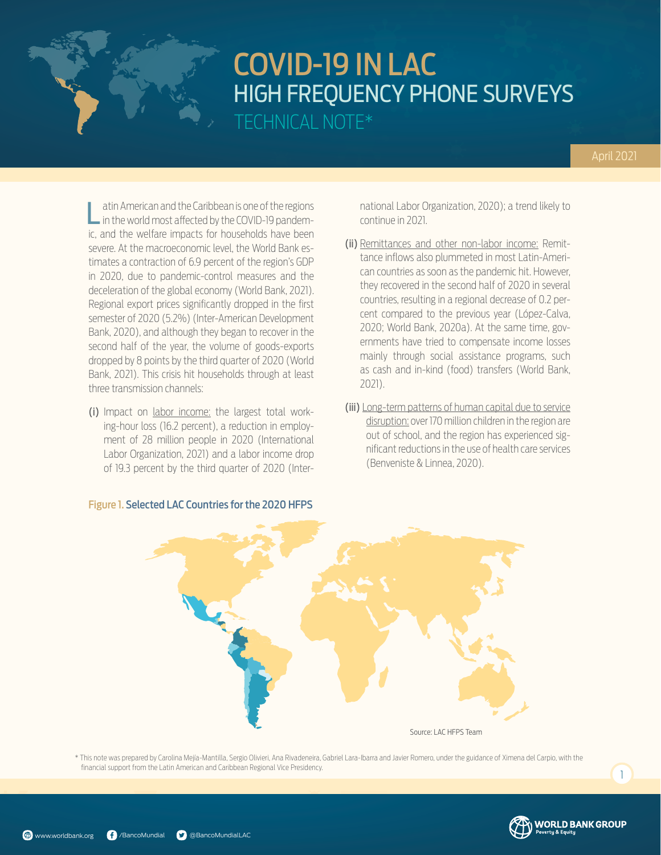## April 2021

Latin American and the Caribbean is one of the regions in the world most affected by the COVID-19 pandemic, and the welfare impacts for households have been severe. At the macroeconomic level, the World Bank estimates a contraction of 6.9 percent of the region's GDP in 2020, due to pandemic-control measures and the deceleration of the global economy (World Bank, 2021). Regional export prices significantly dropped in the first semester of 2020 (5.2%) (Inter-American Development Bank, 2020), and although they began to recover in the second half of the year, the volume of goods-exports dropped by 8 points by the third quarter of 2020 (World Bank, 2021). This crisis hit households through at least three transmission channels:

(i) Impact on labor income: the largest total working-hour loss (16.2 percent), a reduction in employment of 28 million people in 2020 (International Labor Organization, 2021) and a labor income drop of 19.3 percent by the third quarter of 2020 (Inter-

national Labor Organization, 2020); a trend likely to continue in 2021.

- (ii) Remittances and other non-labor income: Remittance inflows also plummeted in most Latin-American countries as soon as the pandemic hit. However, they recovered in the second half of 2020 in several countries, resulting in a regional decrease of 0.2 percent compared to the previous year (López-Calva, 2020; World Bank, 2020a). At the same time, governments have tried to compensate income losses mainly through social assistance programs, such as cash and in-kind (food) transfers (World Bank, 2021).
- (iii) Long-term patterns of human capital due to service disruption: over 170 million children in the region are out of school, and the region has experienced significant reductions in the use of health care services (Benveniste & Linnea, 2020).



\* This note was prepared by Carolina Mejía-Mantilla, Sergio Olivieri, Ana Rivadeneira, Gabriel Lara-Ibarra and Javier Romero, under the guidance of Ximena del Carpio, with the financial support from the Latin American and Caribbean Regional Vice Presidency.

### Figure 1. Selected LAC Countries for the 2020 HFPS



 $\overline{1}$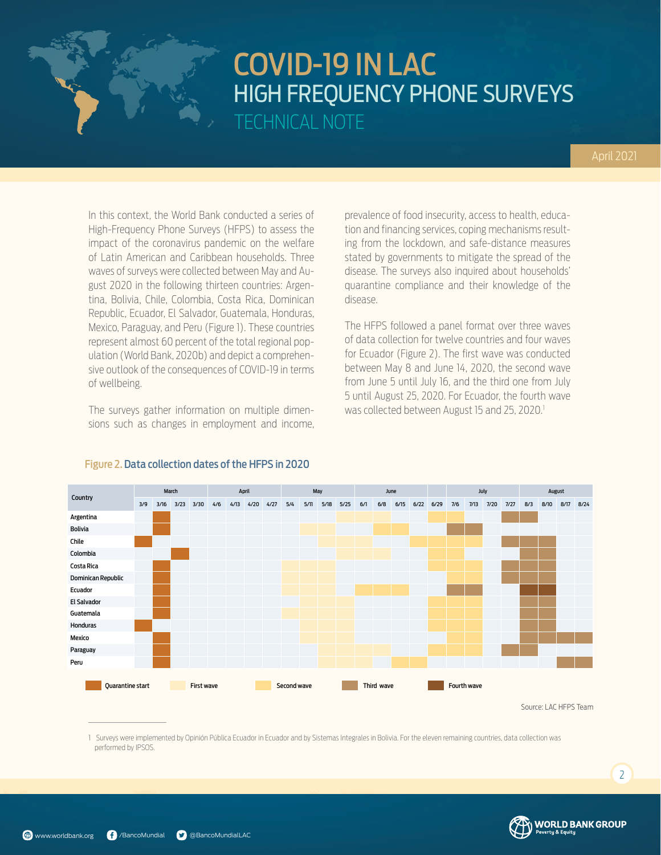In this context, the World Bank conducted a series of High-Frequency Phone Surveys (HFPS) to assess the impact of the coronavirus pandemic on the welfare of Latin American and Caribbean households. Three waves of surveys were collected between May and August 2020 in the following thirteen countries: Argentina, Bolivia, Chile, Colombia, Costa Rica, Dominican Republic, Ecuador, El Salvador, Guatemala, Honduras, Mexico, Paraguay, and Peru (Figure 1). These countries represent almost 60 percent of the total regional population (World Bank, 2020b) and depict a comprehensive outlook of the consequences of COVID-19 in terms of wellbeing.

The surveys gather information on multiple dimensions such as changes in employment and income, prevalence of food insecurity, access to health, education and financing services, coping mechanisms resulting from the lockdown, and safe-distance measures stated by governments to mitigate the spread of the disease. The surveys also inquired about households' quarantine compliance and their knowledge of the disease.

The HFPS followed a panel format over three waves of data collection for twelve countries and four waves for Ecuador (Figure 2). The first wave was conducted between May 8 and June 14, 2020, the second wave from June 5 until July 16, and the third one from July 5 until August 25, 2020. For Ecuador, the fourth wave was collected between August 15 and 25, 2020.<sup>1</sup>



### Figure 2. Data collection dates of the HFPS in 2020

Source: LAC HFPS Team

**WORLD BANK GROUP** 

1 Surveys were implemented by Opinión Pública Ecuador in Ecuador and by Sistemas Integrales in Bolivia. For the eleven remaining countries, data collection was performed by IPSOS.

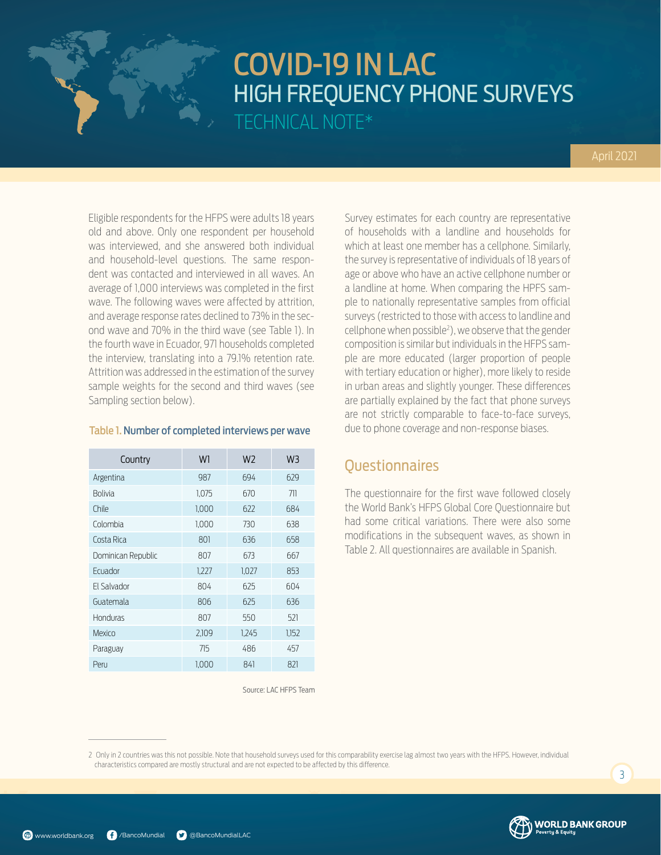Eligible respondents for the HFPS were adults 18 years old and above. Only one respondent per household was interviewed, and she answered both individual and household-level questions. The same respondent was contacted and interviewed in all waves. An average of 1,000 interviews was completed in the first wave. The following waves were affected by attrition, and average response rates declined to 73% in the second wave and 70% in the third wave (see Table 1). In the fourth wave in Ecuador, 971 households completed the interview, translating into a 79.1% retention rate. Attrition was addressed in the estimation of the survey sample weights for the second and third waves (see Sampling section below).

### Table 1. Number of completed interviews per wave

| Country            | W1    | W <sub>2</sub> | W3    |
|--------------------|-------|----------------|-------|
| Argentina          | 987   | 694            | 629   |
| <b>Bolivia</b>     | 1,075 | 670            | 711   |
| Chile              | 1,000 | 622            | 684   |
| Colombia           | 1,000 | 730            | 638   |
| Costa Rica         | 801   | 636            | 658   |
| Dominican Republic | 807   | 673            | 667   |
| Fcuador            | 1,227 | 1,027          | 853   |
| FI Salvador        | 804   | 625            | 604   |
| Guatemala          | 806   | 625            | 636   |
| Honduras           | 807   | 550            | 521   |
| Mexico             | 2,109 | 1,245          | 1,152 |
| Paraguay           | 715   | 486            | 457   |
| Peru               | 1.000 | 841            | 821   |

Survey estimates for each country are representative of households with a landline and households for which at least one member has a cellphone. Similarly, the survey is representative of individuals of 18 years of age or above who have an active cellphone number or a landline at home. When comparing the HPFS sample to nationally representative samples from official surveys (restricted to those with access to landline and cellphone when possible2 ), we observe that the gender composition is similar but individuals in the HFPS sample are more educated (larger proportion of people with tertiary education or higher), more likely to reside in urban areas and slightly younger. These differences are partially explained by the fact that phone surveys are not strictly comparable to face-to-face surveys, due to phone coverage and non-response biases.

## **Ouestionnaires**

The questionnaire for the first wave followed closely the World Bank's HFPS Global Core Questionnaire but had some critical variations. There were also some modifications in the subsequent waves, as shown in Table 2. All questionnaires are available in Spanish.

Source: LAC HFPS Team

2 Only in 2 countries was this not possible. Note that household surveys used for this comparability exercise lag almost two years with the HFPS. However, individual characteristics compared are mostly structural and are not expected to be affected by this difference.



3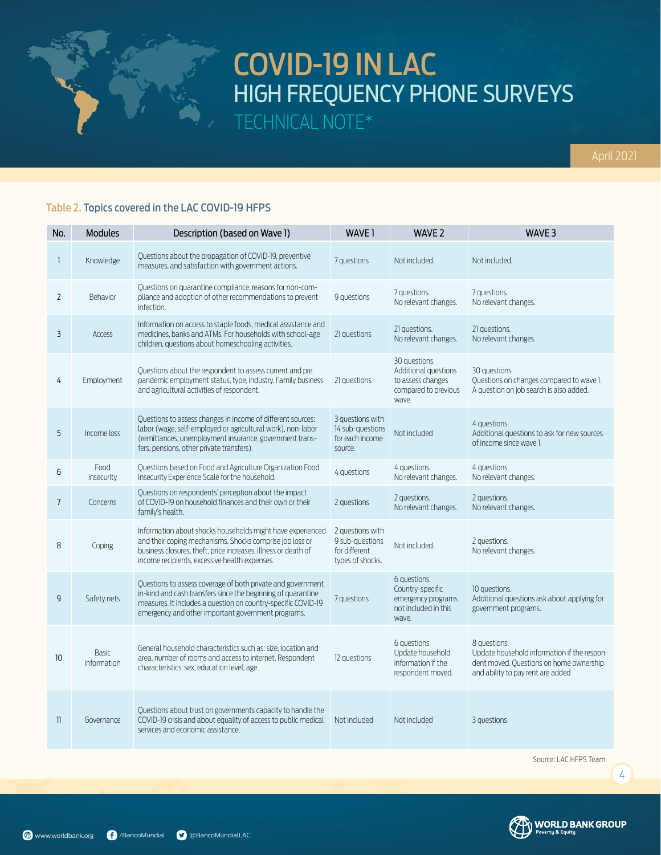

## Table 2. Topics covered in the LAC COVID-19 HFPS

| No.            | Modules              | Description (based on Wave 1)                                                                                                                                                                                                                      | WAVE <sub>1</sub>                                                        | WAVE 2                                                                                      | WAVE <sub>3</sub>                                                                                                                           |
|----------------|----------------------|----------------------------------------------------------------------------------------------------------------------------------------------------------------------------------------------------------------------------------------------------|--------------------------------------------------------------------------|---------------------------------------------------------------------------------------------|---------------------------------------------------------------------------------------------------------------------------------------------|
| $\mathbf{1}$   | Knowledge            | Questions about the propagation of COVID-19, preventive<br>measures, and satisfaction with government actions.                                                                                                                                     | 7 questions                                                              | Not included.                                                                               | Not included.                                                                                                                               |
| $\overline{2}$ | Behavior             | Questions on quarantine compliance, reasons for non-com-<br>pliance and adoption of other recommendations to prevent<br>infection.                                                                                                                 | 9 questions                                                              | 7 questions.<br>No relevant changes.                                                        | 7 questions.<br>No relevant changes.                                                                                                        |
| 3              | Access               | Information on access to staple foods, medical assistance and<br>medicines, banks and ATMs. For households with school-age<br>children, questions about homeschooling activities.                                                                  | 21 questions                                                             | 21 questions.<br>No relevant changes.                                                       | 21 avestions.<br>No relevant changes.                                                                                                       |
| 4              | Employment           | Ouestions about the respondent to assess current and pre<br>pandemic employment status, type, industry. Family business<br>and agricultural activities of respondent.                                                                              | 21 questions                                                             | 30 avestions.<br>Additional questions<br>to assess changes<br>compared to previous<br>wave. | 30 questions.<br>Questions on changes compared to wave 1.<br>A question on job search is also added.                                        |
| 5              | Income loss          | Questions to assess changes in income of different sources:<br>labor (wage, self-employed or agricultural work), non-labor<br>(remittances, unemployment insurance, government trans-<br>fers, pensions, other private transfers).                 | 3 questions with<br>14 sub-questions<br>for each income<br>source.       | Not included                                                                                | 4 avestions.<br>Additional questions to ask for new sources<br>of income since wave 1.                                                      |
| 6              | Food<br>insecurity   | Ouestions based on Food and Agriculture Organization Food<br>Insecurity Experience Scale for the household.                                                                                                                                        | 4 questions                                                              | 4 questions.<br>No relevant changes.                                                        | 4 questions.<br>No relevant changes.                                                                                                        |
| $\overline{7}$ | Concerns             | Questions on respondents' perception about the impact<br>of COVID-19 on household finances and their own or their<br>family's health.                                                                                                              | 2 questions                                                              | 2 questions.<br>No relevant changes.                                                        | 2 avestions.<br>No relevant changes.                                                                                                        |
| 8              | Coping               | Information about shocks households might have experienced<br>and their coping mechanisms. Shocks comprise job loss or<br>business closures, theft, price increases, illness or death of<br>income recipients, excessive health expenses.          | 2 questions with<br>9 sub-questions<br>for different<br>types of shocks. | Not included.                                                                               | 2 questions.<br>No relevant changes.                                                                                                        |
| 9              | Safety nets          | Questions to assess coverage of both private and government<br>in-kind and cash transfers since the beginning of quarantine<br>measures. It includes a question on country-specific COVID-19<br>emergency and other important government programs. | 7 questions                                                              | 6 questions.<br>Country-specific<br>emergency programs<br>not included in this<br>wave.     | 10 questions.<br>Additional questions ask about applying for<br>government programs.                                                        |
| 10             | Basic<br>information | General household characteristics such as: size, location and<br>area, number of rooms and access to internet. Respondent<br>characteristics: sex, education level, age.                                                                           | 12 questions                                                             | 6 questions<br>Update household<br>information if the<br>respondent moved.                  | 8 avestions.<br>Update household information if the respon-<br>dent moved. Questions on home ownership<br>and ability to pay rent are added |
| $\mathbf{1}$   | Governance           | Questions about trust on governments capacity to handle the<br>COVID-19 crisis and about equality of access to public medical<br>services and economic assistance.                                                                                 | Not included                                                             | Not included                                                                                | 3 questions                                                                                                                                 |

Source: LAC HFPS Team



4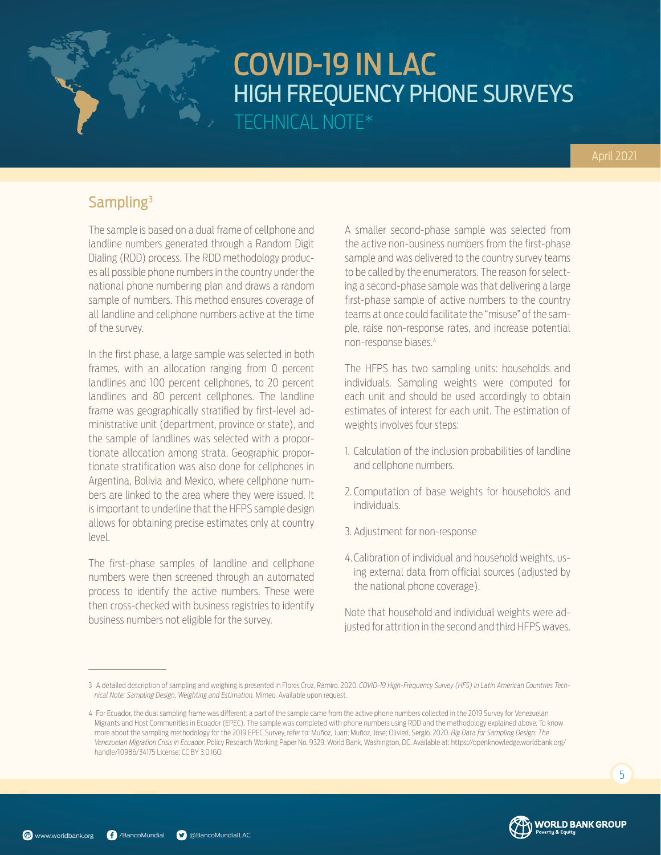## Sampling3

The sample is based on a dual frame of cellphone and landline numbers generated through a Random Digit Dialing (RDD) process. The RDD methodology produces all possible phone numbers in the country under the national phone numbering plan and draws a random sample of numbers. This method ensures coverage of all landline and cellphone numbers active at the time of the survey.

In the first phase, a large sample was selected in both frames, with an allocation ranging from 0 percent landlines and 100 percent cellphones, to 20 percent landlines and 80 percent cellphones. The landline frame was geographically stratified by first-level administrative unit (department, province or state), and the sample of landlines was selected with a proportionate allocation among strata. Geographic proportionate stratification was also done for cellphones in Argentina, Bolivia and Mexico, where cellphone numbers are linked to the area where they were issued. It is important to underline that the HFPS sample design allows for obtaining precise estimates only at country level.

The first-phase samples of landline and cellphone numbers were then screened through an automated process to identify the active numbers. These were then cross-checked with business registries to identify business numbers not eligible for the survey.

A smaller second-phase sample was selected from the active non-business numbers from the first-phase sample and was delivered to the country survey teams to be called by the enumerators. The reason for selecting a second-phase sample was that delivering a large first-phase sample of active numbers to the country teams at once could facilitate the "misuse" of the sample, raise non-response rates, and increase potential non-response biases.4

The HFPS has two sampling units: households and individuals. Sampling weights were computed for each unit and should be used accordingly to obtain estimates of interest for each unit. The estimation of weights involves four steps:

- 1. Calculation of the inclusion probabilities of landline and cellphone numbers.
- 2. Computation of base weights for households and individuals.
- 3. Adjustment for non-response
- 4. Calibration of individual and household weights, using external data from official sources (adjusted by the national phone coverage).

Note that household and individual weights were adjusted for attrition in the second and third HFPS waves.





<sup>3</sup> A detailed description of sampling and weighing is presented in Flores Cruz, Ramiro. 2020. *COVID-19 High-Frequency Survey (HFS) in Latin American Countries Technical Note: Sampling Design, Weighting and Estimation.* Mimeo. Available upon request.

<sup>4</sup> For Ecuador, the dual sampling frame was different: a part of the sample came from the active phone numbers collected in the 2019 Survey for Venezuelan Migrants and Host Communities in Ecuador (EPEC). The sample was completed with phone numbers using RDD and the methodology explained above. To know more about the sampling methodology for the 2019 EPEC Survey, refer to: Muñoz, Juan; Muñoz, Jose; Olivieri, Sergio. 2020. *Big Data for Sampling Design: The Venezuelan Migration Crisis in Ecuador.* Policy Research Working Paper No. 9329. World Bank, Washington, DC. Available at: https://openknowledge.worldbank.org/ handle/10986/34175 License: CC BY 3.0 IGO.